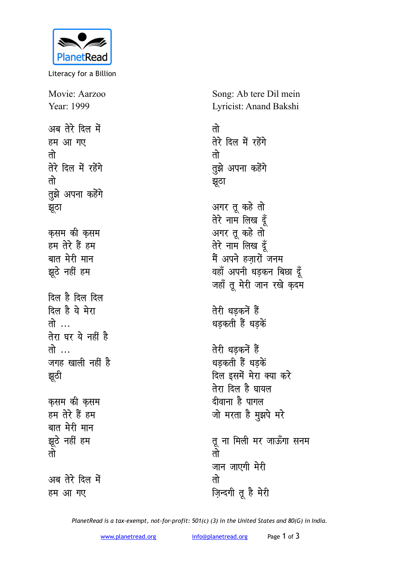

Literacy for a Billion

Movie: Aarzoo Year: 1999 अब तेरे दिल में **हम आ गए** <u>तो</u> **तेरे दिल में रहेंगे** <u>तो</u> **तुझे अपना कहेंगे** <u>झु</u>ठा **कसम** की कसम हम तेरे हैं हम बात मेरी मान झूठे नहीं हम <u>दिल है दिल दिल</u> <u>दिल है</u> ये मेरा **r**  $\vec{r}$ **तेरा** घर ये नहीं है **r** <del>.</del>.. जगह खाली नहीं है <u>झू</u>ठी **कसम** की कसम हम तेरे हैं हम बात मेरी मान झूठे नहीं हम <u>तो</u> अब तेरे दिल में **हम आ गए** 

Song: Ab tere Dil mein Lyricist: Anand Bakshi

<u>तो</u> **तेरे दिल में रहेंगे** <u>तो</u> तुझे अपना कहेंगे <u>झ</u>ूठा अगर तू कहे तो तेरे नाम लिख दूँ अगर तू कहे तो **तेरे नाम लिख दुँ** मैं अपने हज़ारों जनम वहाँ अपनी धड़कन बिछा <u>द</u>ूँ जहाँ तू मेरी जान रखे कुदम **तेरी धडकनें हैं** धडकती हैं धडके<u>ं</u> तेरी धडकनें ह<del>ैं</del> धड़कती हैं धड़कें दिल इसमें मेरा क्या कर<del>े</del> **तेरा दिल है घायल** *दीवाना* है पागल जो मरता है मुझपे मरे तू ना मिली मर जाऊँगा सनम <u>तो</u> जान जाएगी **मेरी** <u>तो</u> **ज़िन्दगी तू है मेरी** 

*PlanetRead is a tax-exempt, not-for-profit: 501(c) (3) in the United States and 80(G) in India.*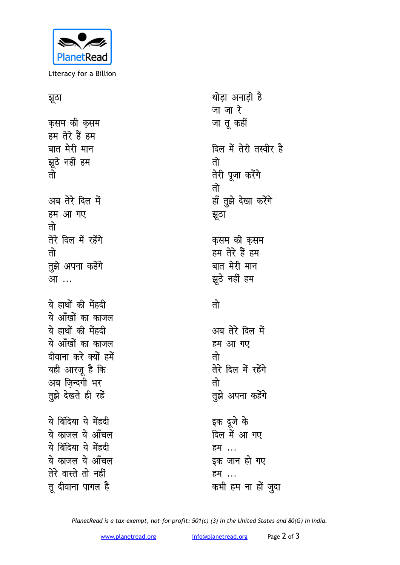

Literacy for a Billion

## <u>झ</u>ुठा

कसम की क<del>स</del>म हम तेरे हैं हम बात मेरी मान झूठे नहीं हम <u>तो</u> अब तेरे दिल में **हम आ गए** <u>तो</u> **तेरे दिल में रहेंगे** <u>तो</u> **तुझे अपना कहेंगे** आ<sup>...</sup> <u>ये हाथों की मेंहदी</u> ये आँखों का काजल ये हाथों की मेंहदी ये आँखों का काजल <u>दीवाना करे क्यों हमें</u> यही आरजू है कि अब ज़िन्दगी भर **तुझे देखते ही रहें** ये बिंदिया ये मेंहदी ये काजल ये ऑंचल ये बिंदिया ये मेंहदी ये काजल ये ऑंचल तेरे वास्ते तो नहीं **तू दीवाना पागल है** 

थोड़ा अनाड़ी है <u>जा</u> जा रे जा तू कहीं दिल में तेरी तस्वीर है <u>तो</u> **तेरी पूजा करेंगे** <u>तो</u> हाँ तुझे देखा करेंगे <u>झ</u>ूठा कुसम की कुसम हम तेरे हैं हम बात मेरी मान झूठे नहीं हम <u>तो</u> अब तेरे दिल में **हम आ गए** <u>तो</u> **तेरे दिल में रहेंगे** <u>तो</u> **तुझे अपना कहेंगे** इक दुजे के दिल में आ गए हम*...* इक जान हो गए हम**...** 

कभी हम ना हों ज़ुदा

*PlanetRead is a tax-exempt, not-for-profit: 501(c) (3) in the United States and 80(G) in India.*